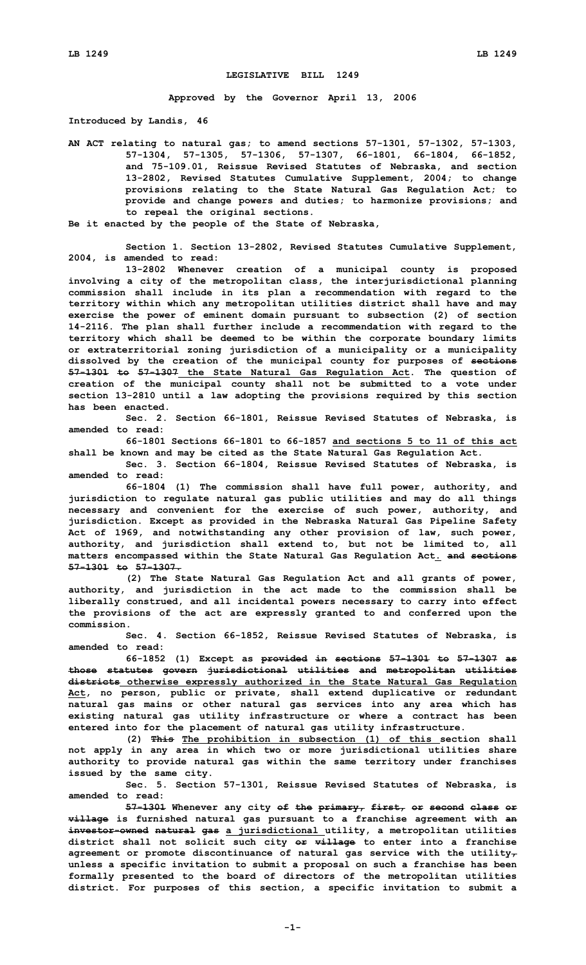## **LEGISLATIVE BILL 1249**

**Approved by the Governor April 13, 2006**

**Introduced by Landis, 46**

**AN ACT relating to natural gas; to amend sections 57-1301, 57-1302, 57-1303, 57-1304, 57-1305, 57-1306, 57-1307, 66-1801, 66-1804, 66-1852, and 75-109.01, Reissue Revised Statutes of Nebraska, and section 13-2802, Revised Statutes Cumulative Supplement, 2004; to change provisions relating to the State Natural Gas Regulation Act; to provide and change powers and duties; to harmonize provisions; and to repeal the original sections.**

**Be it enacted by the people of the State of Nebraska,**

**Section 1. Section 13-2802, Revised Statutes Cumulative Supplement, 2004, is amended to read:**

**13-2802 Whenever creation of <sup>a</sup> municipal county is proposed involving <sup>a</sup> city of the metropolitan class, the interjurisdictional planning commission shall include in its plan <sup>a</sup> recommendation with regard to the territory within which any metropolitan utilities district shall have and may exercise the power of eminent domain pursuant to subsection (2) of section 14-2116. The plan shall further include <sup>a</sup> recommendation with regard to the territory which shall be deemed to be within the corporate boundary limits or extraterritorial zoning jurisdiction of <sup>a</sup> municipality or <sup>a</sup> municipality dissolved by the creation of the municipal county for purposes of sections 57-1301 to 57-1307 the State Natural Gas Regulation Act. The question of creation of the municipal county shall not be submitted to <sup>a</sup> vote under section 13-2810 until <sup>a</sup> law adopting the provisions required by this section has been enacted.**

**Sec. 2. Section 66-1801, Reissue Revised Statutes of Nebraska, is amended to read:**

**66-1801 Sections 66-1801 to 66-1857 and sections 5 to 11 of this act shall be known and may be cited as the State Natural Gas Regulation Act.**

**Sec. 3. Section 66-1804, Reissue Revised Statutes of Nebraska, is amended to read:**

**66-1804 (1) The commission shall have full power, authority, and jurisdiction to regulate natural gas public utilities and may do all things necessary and convenient for the exercise of such power, authority, and jurisdiction. Except as provided in the Nebraska Natural Gas Pipeline Safety Act of 1969, and notwithstanding any other provision of law, such power, authority, and jurisdiction shall extend to, but not be limited to, all matters encompassed within the State Natural Gas Regulation Act. and sections 57-1301 to 57-1307.**

**(2) The State Natural Gas Regulation Act and all grants of power, authority, and jurisdiction in the act made to the commission shall be liberally construed, and all incidental powers necessary to carry into effect the provisions of the act are expressly granted to and conferred upon the commission.**

**Sec. 4. Section 66-1852, Reissue Revised Statutes of Nebraska, is amended to read:**

**66-1852 (1) Except as provided in sections 57-1301 to 57-1307 as those statutes govern jurisdictional utilities and metropolitan utilities districts otherwise expressly authorized in the State Natural Gas Regulation Act, no person, public or private, shall extend duplicative or redundant natural gas mains or other natural gas services into any area which has existing natural gas utility infrastructure or where <sup>a</sup> contract has been entered into for the placement of natural gas utility infrastructure.**

**(2) This The prohibition in subsection (1) of this section shall not apply in any area in which two or more jurisdictional utilities share authority to provide natural gas within the same territory under franchises issued by the same city.**

**Sec. 5. Section 57-1301, Reissue Revised Statutes of Nebraska, is amended to read:**

**57-1301 Whenever any city of the primary, first, or second class or village is furnished natural gas pursuant to <sup>a</sup> franchise agreement with an investor-owned natural gas <sup>a</sup> jurisdictional utility, <sup>a</sup> metropolitan utilities district shall not solicit such city or village to enter into <sup>a</sup> franchise agreement or promote discontinuance of natural gas service with the utility, unless <sup>a</sup> specific invitation to submit <sup>a</sup> proposal on such <sup>a</sup> franchise has been formally presented to the board of directors of the metropolitan utilities district. For purposes of this section, <sup>a</sup> specific invitation to submit <sup>a</sup>**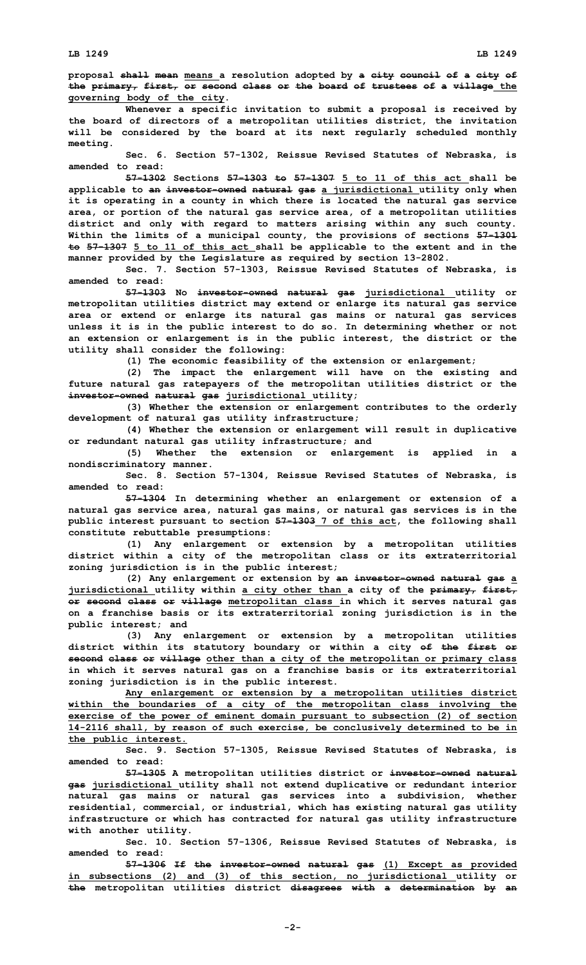**proposal shall mean means <sup>a</sup> resolution adopted by <sup>a</sup> city council of <sup>a</sup> city of the primary, first, or second class or the board of trustees of <sup>a</sup> village the governing body of the city.**

**Whenever <sup>a</sup> specific invitation to submit <sup>a</sup> proposal is received by the board of directors of <sup>a</sup> metropolitan utilities district, the invitation will be considered by the board at its next regularly scheduled monthly meeting.**

**Sec. 6. Section 57-1302, Reissue Revised Statutes of Nebraska, is amended to read:**

**57-1302 Sections 57-1303 to 57-1307 5 to 11 of this act shall be applicable to an investor-owned natural gas <sup>a</sup> jurisdictional utility only when it is operating in <sup>a</sup> county in which there is located the natural gas service area, or portion of the natural gas service area, of <sup>a</sup> metropolitan utilities district and only with regard to matters arising within any such county. Within the limits of <sup>a</sup> municipal county, the provisions of sections 57-1301 to 57-1307 5 to 11 of this act shall be applicable to the extent and in the manner provided by the Legislature as required by section 13-2802.**

**Sec. 7. Section 57-1303, Reissue Revised Statutes of Nebraska, is amended to read:**

**57-1303 No investor-owned natural gas jurisdictional utility or metropolitan utilities district may extend or enlarge its natural gas service area or extend or enlarge its natural gas mains or natural gas services unless it is in the public interest to do so. In determining whether or not an extension or enlargement is in the public interest, the district or the utility shall consider the following:**

**(1) The economic feasibility of the extension or enlargement;**

**(2) The impact the enlargement will have on the existing and future natural gas ratepayers of the metropolitan utilities district or the investor-owned natural gas jurisdictional utility;**

**(3) Whether the extension or enlargement contributes to the orderly development of natural gas utility infrastructure;**

**(4) Whether the extension or enlargement will result in duplicative or redundant natural gas utility infrastructure; and**

**(5) Whether the extension or enlargement is applied in <sup>a</sup> nondiscriminatory manner.**

**Sec. 8. Section 57-1304, Reissue Revised Statutes of Nebraska, is amended to read:**

**57-1304 In determining whether an enlargement or extension of <sup>a</sup> natural gas service area, natural gas mains, or natural gas services is in the public interest pursuant to section 57-1303 7 of this act, the following shall constitute rebuttable presumptions:**

**(1) Any enlargement or extension by <sup>a</sup> metropolitan utilities district within <sup>a</sup> city of the metropolitan class or its extraterritorial zoning jurisdiction is in the public interest;**

**(2) Any enlargement or extension by an investor-owned natural gas <sup>a</sup> jurisdictional utility within <sup>a</sup> city other than <sup>a</sup> city of the primary, first, or second class or village metropolitan class in which it serves natural gas on <sup>a</sup> franchise basis or its extraterritorial zoning jurisdiction is in the public interest; and**

**(3) Any enlargement or extension by <sup>a</sup> metropolitan utilities district within its statutory boundary or within <sup>a</sup> city of the first or second class or village other than <sup>a</sup> city of the metropolitan or primary class in which it serves natural gas on <sup>a</sup> franchise basis or its extraterritorial zoning jurisdiction is in the public interest.**

**Any enlargement or extension by <sup>a</sup> metropolitan utilities district within the boundaries of <sup>a</sup> city of the metropolitan class involving the exercise of the power of eminent domain pursuant to subsection (2) of section 14-2116 shall, by reason of such exercise, be conclusively determined to be in the public interest.**

**Sec. 9. Section 57-1305, Reissue Revised Statutes of Nebraska, is amended to read:**

**57-1305 <sup>A</sup> metropolitan utilities district or investor-owned natural gas jurisdictional utility shall not extend duplicative or redundant interior natural gas mains or natural gas services into <sup>a</sup> subdivision, whether residential, commercial, or industrial, which has existing natural gas utility infrastructure or which has contracted for natural gas utility infrastructure with another utility.**

**Sec. 10. Section 57-1306, Reissue Revised Statutes of Nebraska, is amended to read:**

**57-1306 If the investor-owned natural gas (1) Except as provided in subsections (2) and (3) of this section, no jurisdictional utility or the metropolitan utilities district disagrees with <sup>a</sup> determination by an**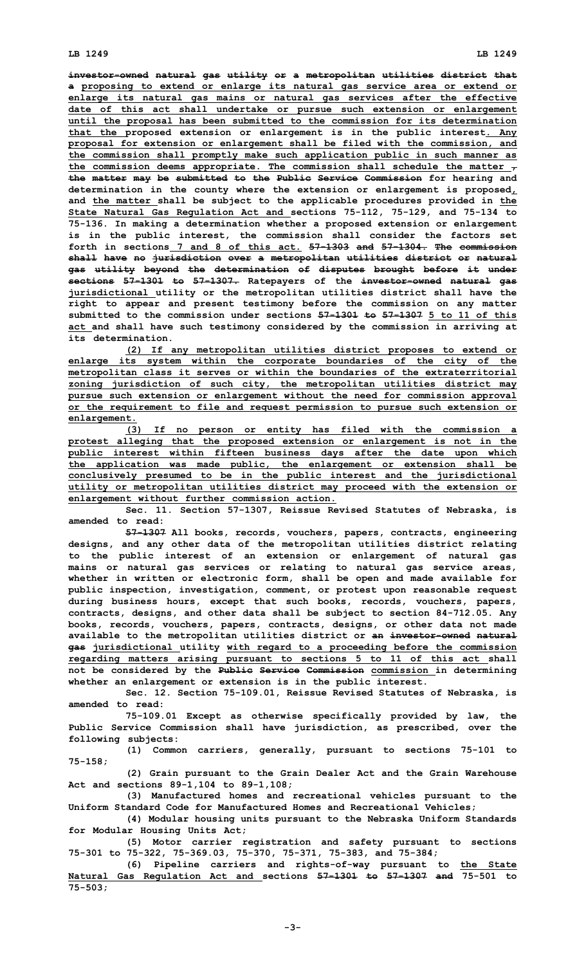**investor-owned natural gas utility or <sup>a</sup> metropolitan utilities district that <sup>a</sup> proposing to extend or enlarge its natural gas service area or extend or enlarge its natural gas mains or natural gas services after the effective date of this act shall undertake or pursue such extension or enlargement until the proposal has been submitted to the commission for its determination that the proposed extension or enlargement is in the public interest. Any proposal for extension or enlargement shall be filed with the commission, and the commission shall promptly make such application public in such manner as the commission deems appropriate. The commission shall schedule the matter , the matter may be submitted to the Public Service Commission for hearing and determination in the county where the extension or enlargement is proposed, and the matter shall be subject to the applicable procedures provided in the State Natural Gas Regulation Act and sections 75-112, 75-129, and 75-134 to 75-136. In making <sup>a</sup> determination whether <sup>a</sup> proposed extension or enlargement is in the public interest, the commission shall consider the factors set forth in sections 7 and 8 of this act. 57-1303 and 57-1304. The commission shall have no jurisdiction over <sup>a</sup> metropolitan utilities district or natural gas utility beyond the determination of disputes brought before it under sections 57-1301 to 57-1307. Ratepayers of the investor-owned natural gas jurisdictional utility or the metropolitan utilities district shall have the right to appear and present testimony before the commission on any matter submitted to the commission under sections 57-1301 to 57-1307 5 to 11 of this act and shall have such testimony considered by the commission in arriving at its determination.**

**(2) If any metropolitan utilities district proposes to extend or enlarge its system within the corporate boundaries of the city of the metropolitan class it serves or within the boundaries of the extraterritorial zoning jurisdiction of such city, the metropolitan utilities district may pursue such extension or enlargement without the need for commission approval or the requirement to file and request permission to pursue such extension or enlargement.**

**(3) If no person or entity has filed with the commission <sup>a</sup> protest alleging that the proposed extension or enlargement is not in the public interest within fifteen business days after the date upon which the application was made public, the enlargement or extension shall be conclusively presumed to be in the public interest and the jurisdictional utility or metropolitan utilities district may proceed with the extension or enlargement without further commission action.**

**Sec. 11. Section 57-1307, Reissue Revised Statutes of Nebraska, is amended to read:**

**57-1307 All books, records, vouchers, papers, contracts, engineering designs, and any other data of the metropolitan utilities district relating to the public interest of an extension or enlargement of natural gas mains or natural gas services or relating to natural gas service areas, whether in written or electronic form, shall be open and made available for public inspection, investigation, comment, or protest upon reasonable request during business hours, except that such books, records, vouchers, papers, contracts, designs, and other data shall be subject to section 84-712.05. Any books, records, vouchers, papers, contracts, designs, or other data not made available to the metropolitan utilities district or an investor-owned natural gas jurisdictional utility with regard to <sup>a</sup> proceeding before the commission regarding matters arising pursuant to sections 5 to 11 of this act shall not be considered by the Public Service Commission commission in determining whether an enlargement or extension is in the public interest.**

**Sec. 12. Section 75-109.01, Reissue Revised Statutes of Nebraska, is amended to read:**

**75-109.01 Except as otherwise specifically provided by law, the Public Service Commission shall have jurisdiction, as prescribed, over the following subjects:**

**(1) Common carriers, generally, pursuant to sections 75-101 to 75-158;**

**(2) Grain pursuant to the Grain Dealer Act and the Grain Warehouse Act and sections 89-1,104 to 89-1,108;**

**(3) Manufactured homes and recreational vehicles pursuant to the Uniform Standard Code for Manufactured Homes and Recreational Vehicles;**

**(4) Modular housing units pursuant to the Nebraska Uniform Standards for Modular Housing Units Act;**

**(5) Motor carrier registration and safety pursuant to sections 75-301 to 75-322, 75-369.03, 75-370, 75-371, 75-383, and 75-384;**

**(6) Pipeline carriers and rights-of-way pursuant to the State Natural Gas Regulation Act and sections 57-1301 to 57-1307 and 75-501 to 75-503;**